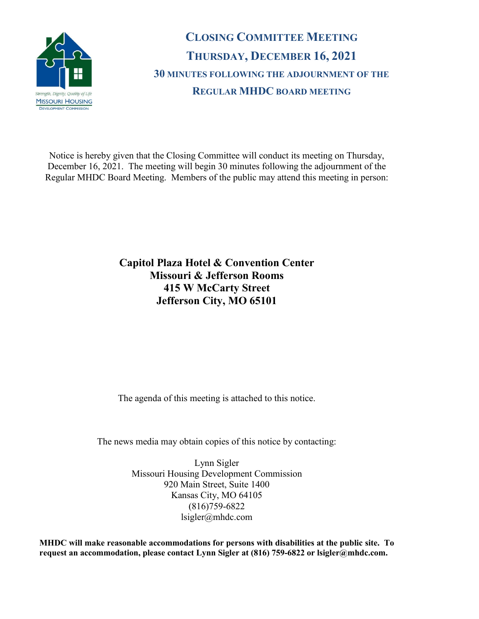

**CLOSING COMMITTEE MEETING THURSDAY, DECEMBER 16, 2021 30 MINUTES FOLLOWING THE ADJOURNMENT OF THE REGULAR MHDC BOARD MEETING**

Notice is hereby given that the Closing Committee will conduct its meeting on Thursday, December 16, 2021. The meeting will begin 30 minutes following the adjournment of the Regular MHDC Board Meeting. Members of the public may attend this meeting in person:

## **Capitol Plaza Hotel & Convention Center Missouri & Jefferson Rooms 415 W McCarty Street Jefferson City, MO 65101**

The agenda of this meeting is attached to this notice.

The news media may obtain copies of this notice by contacting:

Lynn Sigler Missouri Housing Development Commission 920 Main Street, Suite 1400 Kansas City, MO 64105 (816)759-6822 lsigler@mhdc.com

**MHDC will make reasonable accommodations for persons with disabilities at the public site. To request an accommodation, please contact Lynn Sigler at (816) 759-6822 or lsigler@mhdc.com.**